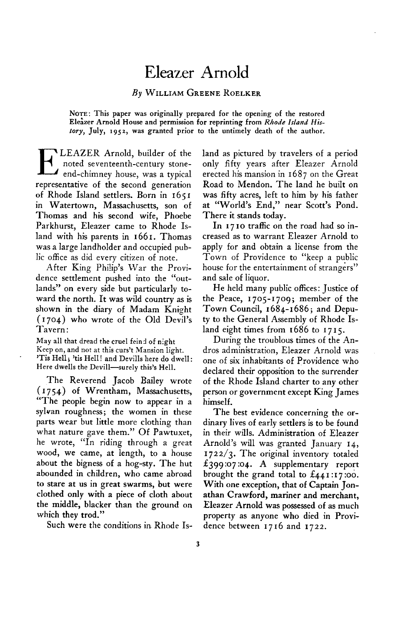## **Eleazer Arnold**

## **By WILLIAM GREENE ROELKER**

**NOTE: This paper was originally prepared for the opening of the restored**  Eleazer Arnold House and permission for reprinting from Rhode Island His**tory, July, '952, was granted prior to the untimely death of the author.** 

**E LEAZER Arnold, builder of the end-chimney house, was a typical noted seventeenth-century stonerepresentative of the second generation of Rhode Island settlers. Born in 165 I in Watertown, Massachusetts, son of Thomas and his second wife, Phoebe Parkhurst, Eleazer came to Rhode Island with his parents in 1661. Thomas was a large landholder and occupied public office as did every citizen of note.** 

**After King Philip's \Var the Providence settlement pushed into the "outlands" on every side but particularly toward the north. It was wild country as is shown in the diary of Madam Knight (1704) who wrote of the Old Devil's Tavern :** 

**May all that dread the cruel feind of night Keep on, and not at this curs? Mansion light. 'Tis Hell ; 'tis Hell ! and Devills here do dwell :**  Here dwells the Devill-surely this's Hell.

**.** 

**The Reverend Jacob Bailey wrote ( I 754) of Wrentham, Massachusetts, "The people begin now to appear in a sylvan roughness; the women in these parts wear but little more clothing than what nature gave them." Of Pawtuxet, he wrote, "In riding through a great wood, we came, at length, to a house about the bigness of a hog-sty. The hut abounded in children, who came abroad to stare at us in great swarms, but were clothed only with a piece of cloth about the middle, blacker than the ground on which they trod."** 

**Such were the conditions in. Rhode Is-**

**land as pictured by travelers of a period only fifty years after Eleazer Arnold erected his mansion in 1687 on the Great Road to Mendon. The land he built on was fifty acres, left to him by his father at "World's End," near Scott's Pond. There it stands today.** 

**In I 7 IO traffic on the road had so increased as to warrant Eleazer Arnold to apply for and obtain a license from the Town of Providence to "keep a public house for the entertainment of strangers" and sale of liquor.** 

**He held many public ofices: Justice of the Peace, 1705-1709; member of the Town Council, 1684-1686; and Deputy to the General Assembly of Rhode Island eight times from 1686 to 1715.** 

**During the troublous times of the Andros administration, Eleazer Arnold was one of six inhabitants of Providence who declared their opposition to the surrender of the Rhode Island charter to any other person or government except King James himself.** 

**The best evidence concerning the ordinary lives of early settlers is to be found in their wills. Administration of Eleazer Arnold's will was granted January 14, I 722/3. The original inventory totaled f 399 :07 :04. A supplementary report**  brought the grand total to £441:17:00. **With one exception, that of Captain Jonathan Crawford, mariner and merchant, Eleazer Arnold was possessed of as much property as anyone who died in Providence between 1716 and 1722.**